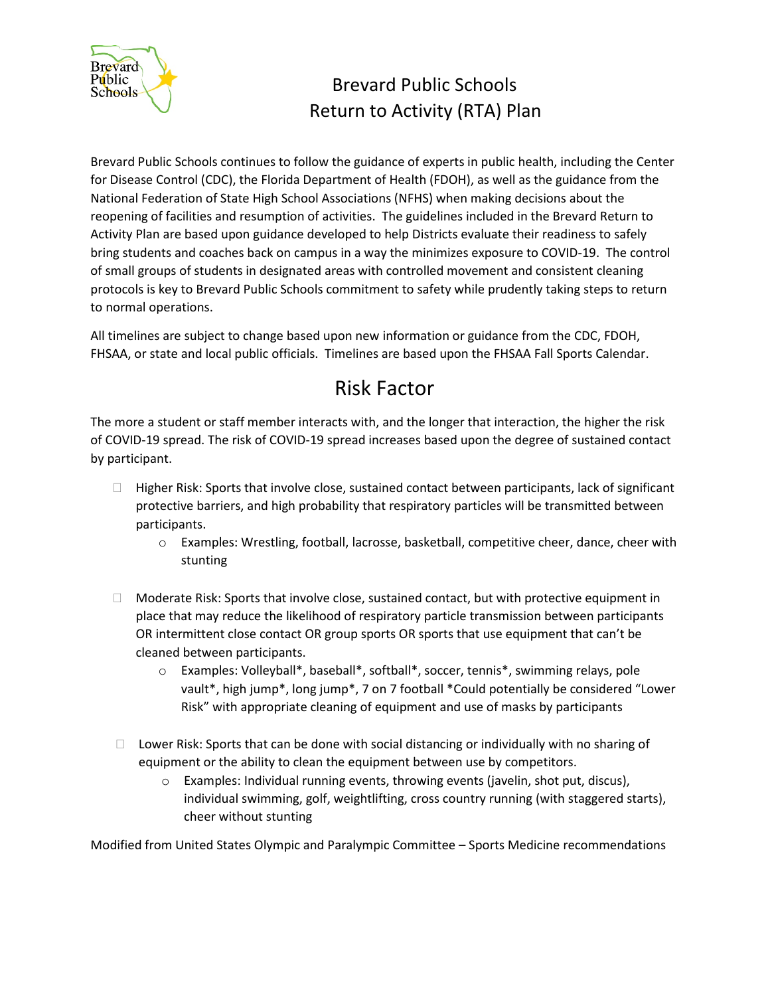

## Brevard Public Schools Return to Activity (RTA) Plan

Brevard Public Schools continues to follow the guidance of experts in public health, including the Center for Disease Control (CDC), the Florida Department of Health (FDOH), as well as the guidance from the National Federation of State High School Associations (NFHS) when making decisions about the reopening of facilities and resumption of activities. The guidelines included in the Brevard Return to Activity Plan are based upon guidance developed to help Districts evaluate their readiness to safely bring students and coaches back on campus in a way the minimizes exposure to COVID-19. The control of small groups of students in designated areas with controlled movement and consistent cleaning protocols is key to Brevard Public Schools commitment to safety while prudently taking steps to return to normal operations.

All timelines are subject to change based upon new information or guidance from the CDC, FDOH, FHSAA, or state and local public officials. Timelines are based upon the FHSAA Fall Sports Calendar.

## Risk Factor

The more a student or staff member interacts with, and the longer that interaction, the higher the risk of COVID-19 spread. The risk of COVID-19 spread increases based upon the degree of sustained contact by participant.

- $\Box$  Higher Risk: Sports that involve close, sustained contact between participants, lack of significant protective barriers, and high probability that respiratory particles will be transmitted between participants.
	- o Examples: Wrestling, football, lacrosse, basketball, competitive cheer, dance, cheer with stunting
- $\Box$  Moderate Risk: Sports that involve close, sustained contact, but with protective equipment in place that may reduce the likelihood of respiratory particle transmission between participants OR intermittent close contact OR group sports OR sports that use equipment that can't be cleaned between participants.
	- o Examples: Volleyball\*, baseball\*, softball\*, soccer, tennis\*, swimming relays, pole vault\*, high jump\*, long jump\*, 7 on 7 football \*Could potentially be considered "Lower Risk" with appropriate cleaning of equipment and use of masks by participants
- $\Box$  Lower Risk: Sports that can be done with social distancing or individually with no sharing of equipment or the ability to clean the equipment between use by competitors.
	- o Examples: Individual running events, throwing events (javelin, shot put, discus), individual swimming, golf, weightlifting, cross country running (with staggered starts), cheer without stunting

Modified from United States Olympic and Paralympic Committee – Sports Medicine recommendations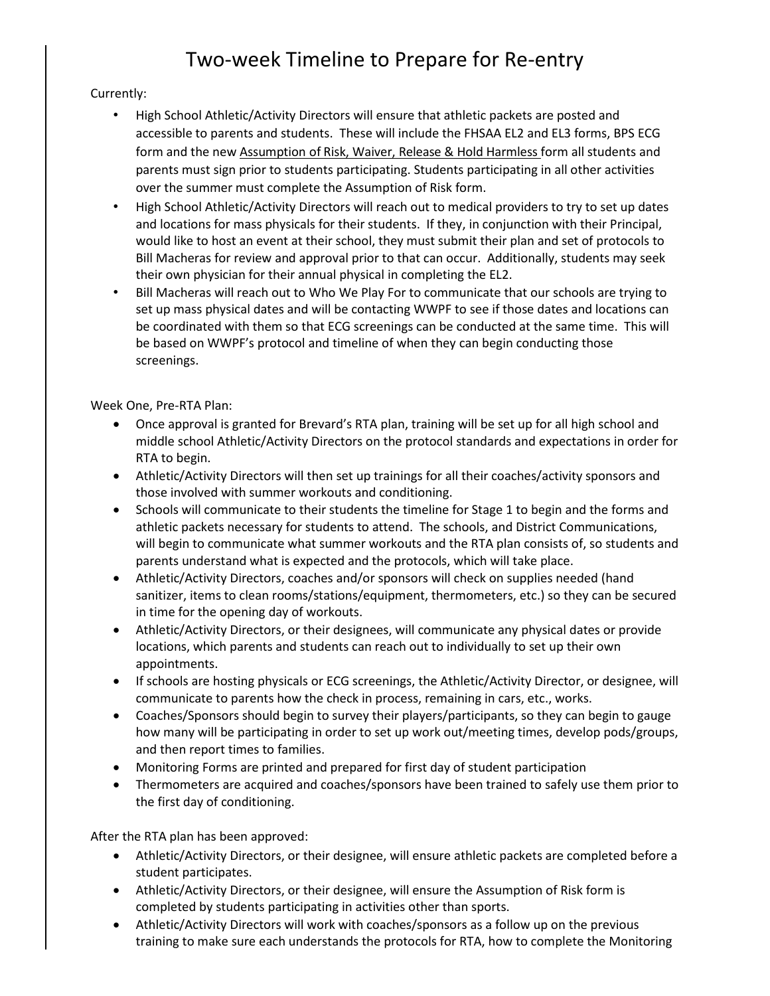# Two-week Timeline to Prepare for Re-entry

### Currently:

- High School Athletic/Activity Directors will ensure that athletic packets are posted and accessible to parents and students. These will include the FHSAA EL2 and EL3 forms, BPS ECG form and the new Assumption of Risk, Waiver, Release & Hold Harmless form all students and parents must sign prior to students participating. Students participating in all other activities over the summer must complete the Assumption of Risk form.
- High School Athletic/Activity Directors will reach out to medical providers to try to set up dates and locations for mass physicals for their students. If they, in conjunction with their Principal, would like to host an event at their school, they must submit their plan and set of protocols to Bill Macheras for review and approval prior to that can occur. Additionally, students may seek their own physician for their annual physical in completing the EL2.
- Bill Macheras will reach out to Who We Play For to communicate that our schools are trying to set up mass physical dates and will be contacting WWPF to see if those dates and locations can be coordinated with them so that ECG screenings can be conducted at the same time. This will be based on WWPF's protocol and timeline of when they can begin conducting those screenings.

#### Week One, Pre-RTA Plan:

- Once approval is granted for Brevard's RTA plan, training will be set up for all high school and middle school Athletic/Activity Directors on the protocol standards and expectations in order for RTA to begin.
- Athletic/Activity Directors will then set up trainings for all their coaches/activity sponsors and those involved with summer workouts and conditioning.
- Schools will communicate to their students the timeline for Stage 1 to begin and the forms and athletic packets necessary for students to attend. The schools, and District Communications, will begin to communicate what summer workouts and the RTA plan consists of, so students and parents understand what is expected and the protocols, which will take place.
- Athletic/Activity Directors, coaches and/or sponsors will check on supplies needed (hand sanitizer, items to clean rooms/stations/equipment, thermometers, etc.) so they can be secured in time for the opening day of workouts.
- Athletic/Activity Directors, or their designees, will communicate any physical dates or provide locations, which parents and students can reach out to individually to set up their own appointments.
- If schools are hosting physicals or ECG screenings, the Athletic/Activity Director, or designee, will communicate to parents how the check in process, remaining in cars, etc., works.
- Coaches/Sponsors should begin to survey their players/participants, so they can begin to gauge how many will be participating in order to set up work out/meeting times, develop pods/groups, and then report times to families.
- Monitoring Forms are printed and prepared for first day of student participation
- Thermometers are acquired and coaches/sponsors have been trained to safely use them prior to the first day of conditioning.

After the RTA plan has been approved:

- Athletic/Activity Directors, or their designee, will ensure athletic packets are completed before a student participates.
- Athletic/Activity Directors, or their designee, will ensure the Assumption of Risk form is completed by students participating in activities other than sports.
- Athletic/Activity Directors will work with coaches/sponsors as a follow up on the previous training to make sure each understands the protocols for RTA, how to complete the Monitoring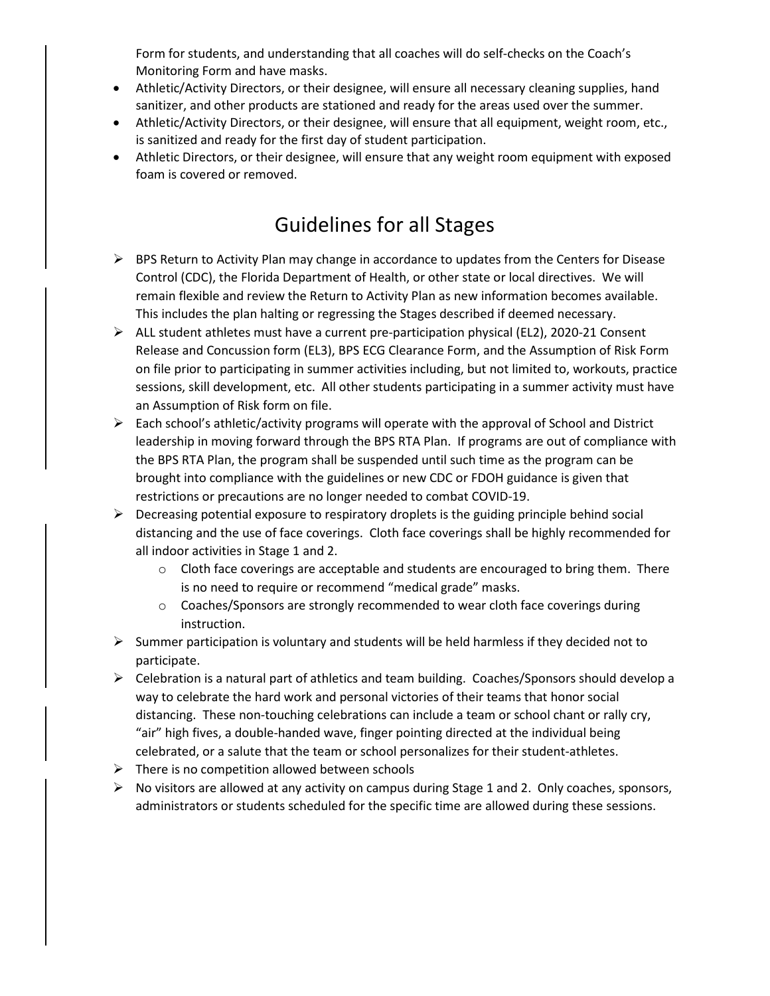Form for students, and understanding that all coaches will do self-checks on the Coach's Monitoring Form and have masks.

- Athletic/Activity Directors, or their designee, will ensure all necessary cleaning supplies, hand sanitizer, and other products are stationed and ready for the areas used over the summer.
- Athletic/Activity Directors, or their designee, will ensure that all equipment, weight room, etc., is sanitized and ready for the first day of student participation.
- Athletic Directors, or their designee, will ensure that any weight room equipment with exposed foam is covered or removed.

## Guidelines for all Stages

- $\triangleright$  BPS Return to Activity Plan may change in accordance to updates from the Centers for Disease Control (CDC), the Florida Department of Health, or other state or local directives. We will remain flexible and review the Return to Activity Plan as new information becomes available. This includes the plan halting or regressing the Stages described if deemed necessary.
- ALL student athletes must have a current pre-participation physical (EL2), 2020-21 Consent Release and Concussion form (EL3), BPS ECG Clearance Form, and the Assumption of Risk Form on file prior to participating in summer activities including, but not limited to, workouts, practice sessions, skill development, etc. All other students participating in a summer activity must have an Assumption of Risk form on file.
- $\triangleright$  Each school's athletic/activity programs will operate with the approval of School and District leadership in moving forward through the BPS RTA Plan. If programs are out of compliance with the BPS RTA Plan, the program shall be suspended until such time as the program can be brought into compliance with the guidelines or new CDC or FDOH guidance is given that restrictions or precautions are no longer needed to combat COVID-19.
- $\triangleright$  Decreasing potential exposure to respiratory droplets is the guiding principle behind social distancing and the use of face coverings. Cloth face coverings shall be highly recommended for all indoor activities in Stage 1 and 2.
	- o Cloth face coverings are acceptable and students are encouraged to bring them. There is no need to require or recommend "medical grade" masks.
	- o Coaches/Sponsors are strongly recommended to wear cloth face coverings during instruction.
- $\triangleright$  Summer participation is voluntary and students will be held harmless if they decided not to participate.
- Celebration is a natural part of athletics and team building. Coaches/Sponsors should develop a way to celebrate the hard work and personal victories of their teams that honor social distancing. These non-touching celebrations can include a team or school chant or rally cry, "air" high fives, a double-handed wave, finger pointing directed at the individual being celebrated, or a salute that the team or school personalizes for their student-athletes.
- $\triangleright$  There is no competition allowed between schools
- $\triangleright$  No visitors are allowed at any activity on campus during Stage 1 and 2. Only coaches, sponsors, administrators or students scheduled for the specific time are allowed during these sessions.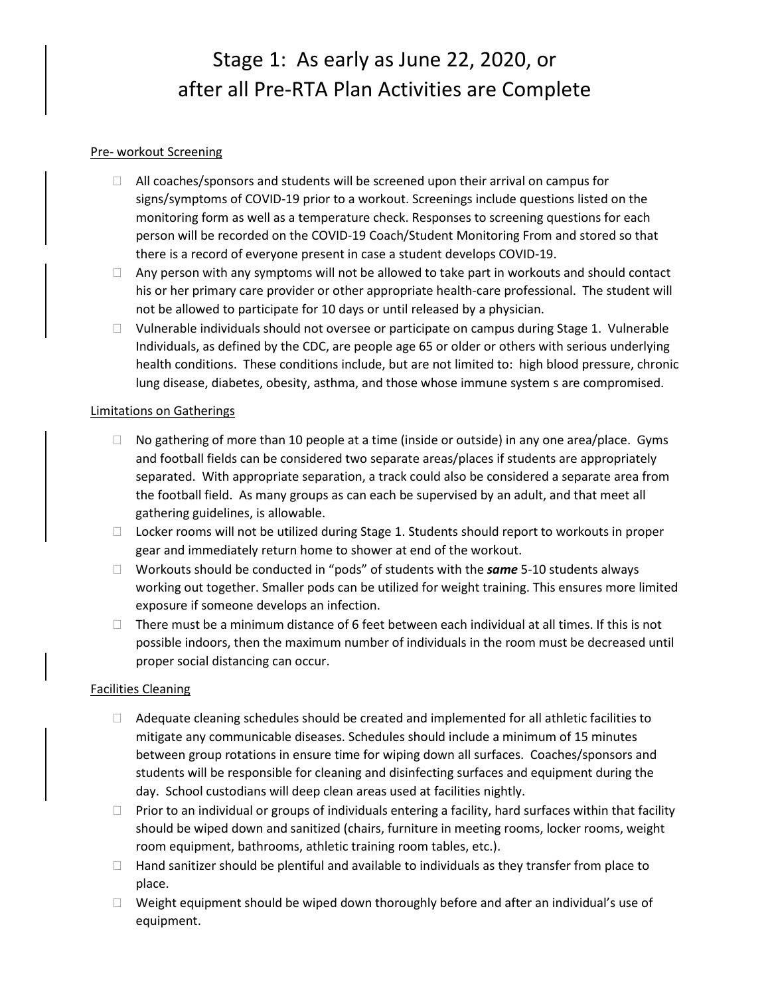# Stage 1: As early as June 22, 2020, or after all Pre-RTA Plan Activities are Complete

#### Pre- workout Screening

- $\Box$  All coaches/sponsors and students will be screened upon their arrival on campus for signs/symptoms of COVID-19 prior to a workout. Screenings include questions listed on the monitoring form as well as a temperature check. Responses to screening questions for each person will be recorded on the COVID-19 Coach/Student Monitoring From and stored so that there is a record of everyone present in case a student develops COVID-19.
- $\Box$  Any person with any symptoms will not be allowed to take part in workouts and should contact his or her primary care provider or other appropriate health-care professional. The student will not be allowed to participate for 10 days or until released by a physician.
- $\Box$  Vulnerable individuals should not oversee or participate on campus during Stage 1. Vulnerable Individuals, as defined by the CDC, are people age 65 or older or others with serious underlying health conditions. These conditions include, but are not limited to: high blood pressure, chronic lung disease, diabetes, obesity, asthma, and those whose immune system s are compromised.

#### Limitations on Gatherings

- $\Box$  No gathering of more than 10 people at a time (inside or outside) in any one area/place. Gyms and football fields can be considered two separate areas/places if students are appropriately separated. With appropriate separation, a track could also be considered a separate area from the football field. As many groups as can each be supervised by an adult, and that meet all gathering guidelines, is allowable.
- $\Box$  Locker rooms will not be utilized during Stage 1. Students should report to workouts in proper gear and immediately return home to shower at end of the workout.
- Workouts should be conducted in "pods" of students with the *same* 5-10 students always working out together. Smaller pods can be utilized for weight training. This ensures more limited exposure if someone develops an infection.
- $\Box$  There must be a minimum distance of 6 feet between each individual at all times. If this is not possible indoors, then the maximum number of individuals in the room must be decreased until proper social distancing can occur.

#### Facilities Cleaning

- $\Box$  Adequate cleaning schedules should be created and implemented for all athletic facilities to mitigate any communicable diseases. Schedules should include a minimum of 15 minutes between group rotations in ensure time for wiping down all surfaces. Coaches/sponsors and students will be responsible for cleaning and disinfecting surfaces and equipment during the day. School custodians will deep clean areas used at facilities nightly.
- $\Box$  Prior to an individual or groups of individuals entering a facility, hard surfaces within that facility should be wiped down and sanitized (chairs, furniture in meeting rooms, locker rooms, weight room equipment, bathrooms, athletic training room tables, etc.).
- $\Box$  Hand sanitizer should be plentiful and available to individuals as they transfer from place to place.
- $\Box$  Weight equipment should be wiped down thoroughly before and after an individual's use of equipment.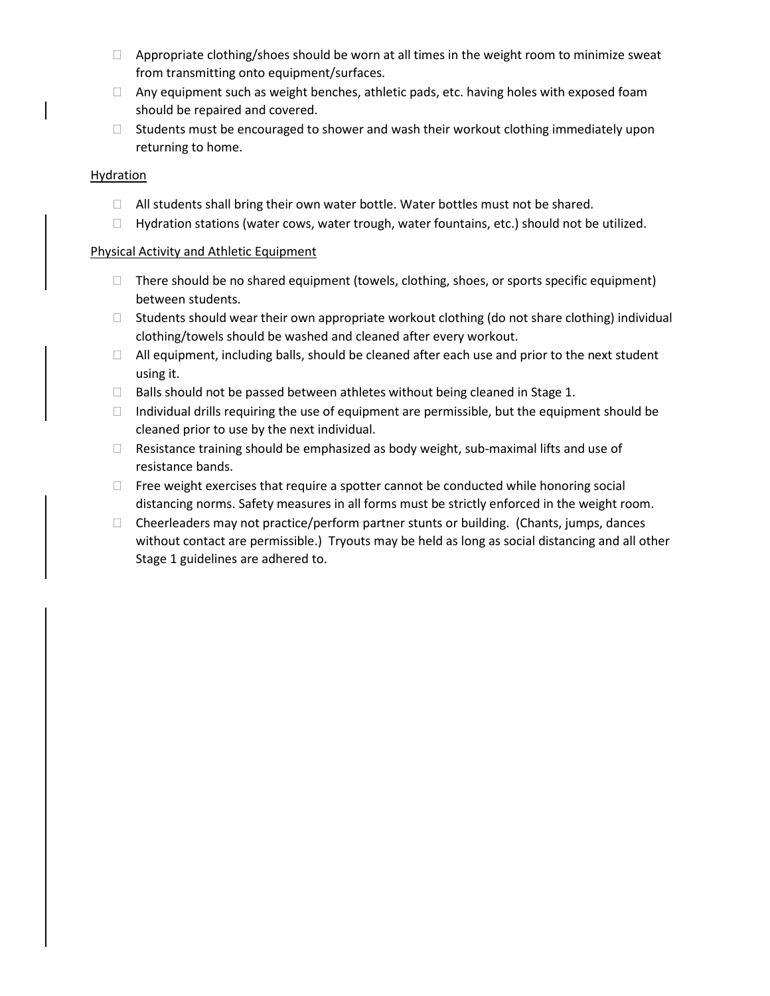- $\Box$  Appropriate clothing/shoes should be worn at all times in the weight room to minimize sweat from transmitting onto equipment/surfaces.
- $\Box$  Any equipment such as weight benches, athletic pads, etc. having holes with exposed foam should be repaired and covered.
- $\Box$  Students must be encouraged to shower and wash their workout clothing immediately upon returning to home.

#### **Hydration**

- $\Box$  All students shall bring their own water bottle. Water bottles must not be shared.
- $\Box$  Hydration stations (water cows, water trough, water fountains, etc.) should not be utilized.

#### Physical Activity and Athletic Equipment

- $\Box$  There should be no shared equipment (towels, clothing, shoes, or sports specific equipment) between students.
- $\Box$  Students should wear their own appropriate workout clothing (do not share clothing) individual clothing/towels should be washed and cleaned after every workout.
- $\Box$  All equipment, including balls, should be cleaned after each use and prior to the next student using it.
- $\Box$  Balls should not be passed between athletes without being cleaned in Stage 1.
- $\Box$  Individual drills requiring the use of equipment are permissible, but the equipment should be cleaned prior to use by the next individual.
- $\Box$  Resistance training should be emphasized as body weight, sub-maximal lifts and use of resistance bands.
- $\Box$  Free weight exercises that require a spotter cannot be conducted while honoring social distancing norms. Safety measures in all forms must be strictly enforced in the weight room.
- $\Box$  Cheerleaders may not practice/perform partner stunts or building. (Chants, jumps, dances without contact are permissible.) Tryouts may be held as long as social distancing and all other Stage 1 guidelines are adhered to.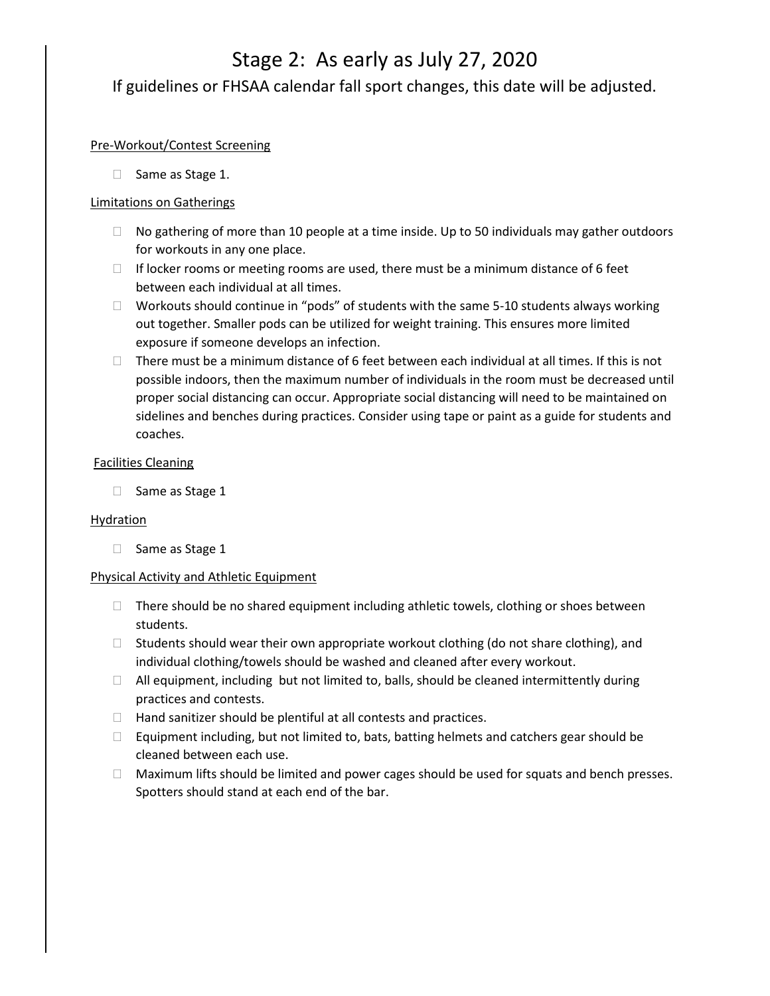## Stage 2: As early as July 27, 2020 If guidelines or FHSAA calendar fall sport changes, this date will be adjusted.

#### Pre-Workout/Contest Screening

□ Same as Stage 1.

#### Limitations on Gatherings

- $\Box$  No gathering of more than 10 people at a time inside. Up to 50 individuals may gather outdoors for workouts in any one place.
- $\Box$  If locker rooms or meeting rooms are used, there must be a minimum distance of 6 feet between each individual at all times.
- Workouts should continue in "pods" of students with the same 5-10 students always working out together. Smaller pods can be utilized for weight training. This ensures more limited exposure if someone develops an infection.
- $\Box$  There must be a minimum distance of 6 feet between each individual at all times. If this is not possible indoors, then the maximum number of individuals in the room must be decreased until proper social distancing can occur. Appropriate social distancing will need to be maintained on sidelines and benches during practices. Consider using tape or paint as a guide for students and coaches.

#### Facilities Cleaning

 $\Box$  Same as Stage 1

#### Hydration

□ Same as Stage 1

#### Physical Activity and Athletic Equipment

- $\Box$  There should be no shared equipment including athletic towels, clothing or shoes between students.
- $\Box$  Students should wear their own appropriate workout clothing (do not share clothing), and individual clothing/towels should be washed and cleaned after every workout.
- $\Box$  All equipment, including but not limited to, balls, should be cleaned intermittently during practices and contests.
- $\Box$  Hand sanitizer should be plentiful at all contests and practices.
- $\Box$  Equipment including, but not limited to, bats, batting helmets and catchers gear should be cleaned between each use.
- $\Box$  Maximum lifts should be limited and power cages should be used for squats and bench presses. Spotters should stand at each end of the bar.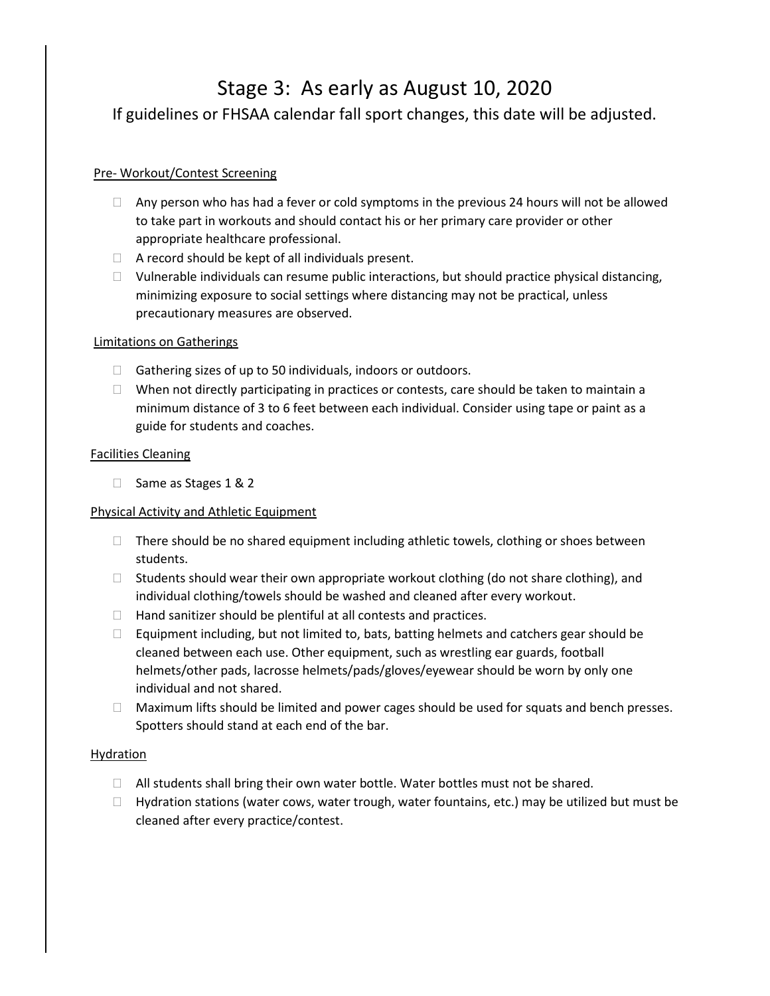## Stage 3: As early as August 10, 2020

If guidelines or FHSAA calendar fall sport changes, this date will be adjusted.

### Pre- Workout/Contest Screening

- $\Box$  Any person who has had a fever or cold symptoms in the previous 24 hours will not be allowed to take part in workouts and should contact his or her primary care provider or other appropriate healthcare professional.
- $\Box$  A record should be kept of all individuals present.
- $\Box$  Vulnerable individuals can resume public interactions, but should practice physical distancing, minimizing exposure to social settings where distancing may not be practical, unless precautionary measures are observed.

#### Limitations on Gatherings

- $\Box$  Gathering sizes of up to 50 individuals, indoors or outdoors.
- $\Box$  When not directly participating in practices or contests, care should be taken to maintain a minimum distance of 3 to 6 feet between each individual. Consider using tape or paint as a guide for students and coaches.

#### Facilities Cleaning

□ Same as Stages 1 & 2

### Physical Activity and Athletic Equipment

- $\Box$  There should be no shared equipment including athletic towels, clothing or shoes between students.
- $\Box$  Students should wear their own appropriate workout clothing (do not share clothing), and individual clothing/towels should be washed and cleaned after every workout.
- $\Box$  Hand sanitizer should be plentiful at all contests and practices.
- $\Box$  Equipment including, but not limited to, bats, batting helmets and catchers gear should be cleaned between each use. Other equipment, such as wrestling ear guards, football helmets/other pads, lacrosse helmets/pads/gloves/eyewear should be worn by only one individual and not shared.
- $\Box$  Maximum lifts should be limited and power cages should be used for squats and bench presses. Spotters should stand at each end of the bar.

### **Hydration**

- $\Box$  All students shall bring their own water bottle. Water bottles must not be shared.
- $\Box$  Hydration stations (water cows, water trough, water fountains, etc.) may be utilized but must be cleaned after every practice/contest.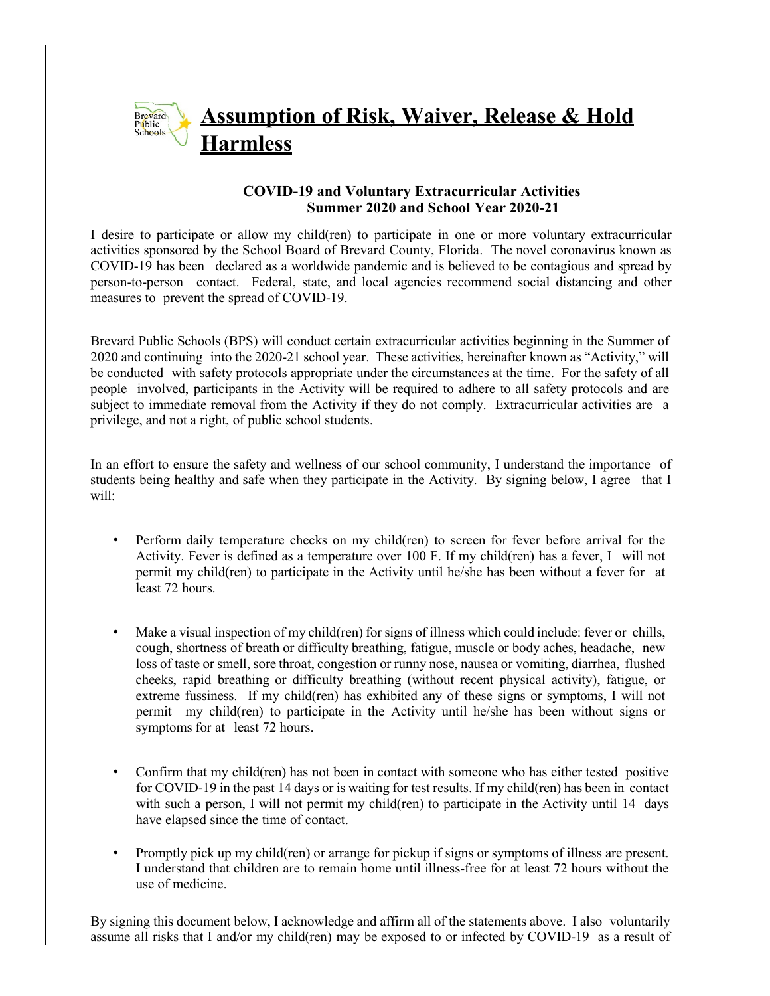## **Assumption of Risk, Waiver, Release & Hold** Brevard<br>Public<br>Schools **Harmless**

## **COVID-19 and Voluntary Extracurricular Activities Summer 2020 and School Year 2020-21**

I desire to participate or allow my child(ren) to participate in one or more voluntary extracurricular activities sponsored by the School Board of Brevard County, Florida. The novel coronavirus known as COVID-19 has been declared as a worldwide pandemic and is believed to be contagious and spread by person-to-person contact. Federal, state, and local agencies recommend social distancing and other measures to prevent the spread of COVID-19.

Brevard Public Schools (BPS) will conduct certain extracurricular activities beginning in the Summer of 2020 and continuing into the 2020-21 school year. These activities, hereinafter known as "Activity," will be conducted with safety protocols appropriate under the circumstances at the time. For the safety of all people involved, participants in the Activity will be required to adhere to all safety protocols and are subject to immediate removal from the Activity if they do not comply. Extracurricular activities are a privilege, and not a right, of public school students.

In an effort to ensure the safety and wellness of our school community, I understand the importance of students being healthy and safe when they participate in the Activity. By signing below, I agree that I will:

- Perform daily temperature checks on my child(ren) to screen for fever before arrival for the Activity. Fever is defined as a temperature over 100 F. If my child(ren) has a fever, I will not permit my child(ren) to participate in the Activity until he/she has been without a fever for at least 72 hours.
- Make a visual inspection of my child(ren) for signs of illness which could include: fever or chills, cough, shortness of breath or difficulty breathing, fatigue, muscle or body aches, headache, new loss of taste or smell, sore throat, congestion or runny nose, nausea or vomiting, diarrhea, flushed cheeks, rapid breathing or difficulty breathing (without recent physical activity), fatigue, or extreme fussiness. If my child(ren) has exhibited any of these signs or symptoms, I will not permit my child(ren) to participate in the Activity until he/she has been without signs or symptoms for at least 72 hours.
- Confirm that my child(ren) has not been in contact with someone who has either tested positive for COVID-19 in the past 14 days or is waiting for test results. If my child(ren) has been in contact with such a person, I will not permit my child(ren) to participate in the Activity until 14 days have elapsed since the time of contact.
- Promptly pick up my child(ren) or arrange for pickup if signs or symptoms of illness are present. I understand that children are to remain home until illness-free for at least 72 hours without the use of medicine.

By signing this document below, I acknowledge and affirm all of the statements above. I also voluntarily assume all risks that I and/or my child(ren) may be exposed to or infected by COVID-19 as a result of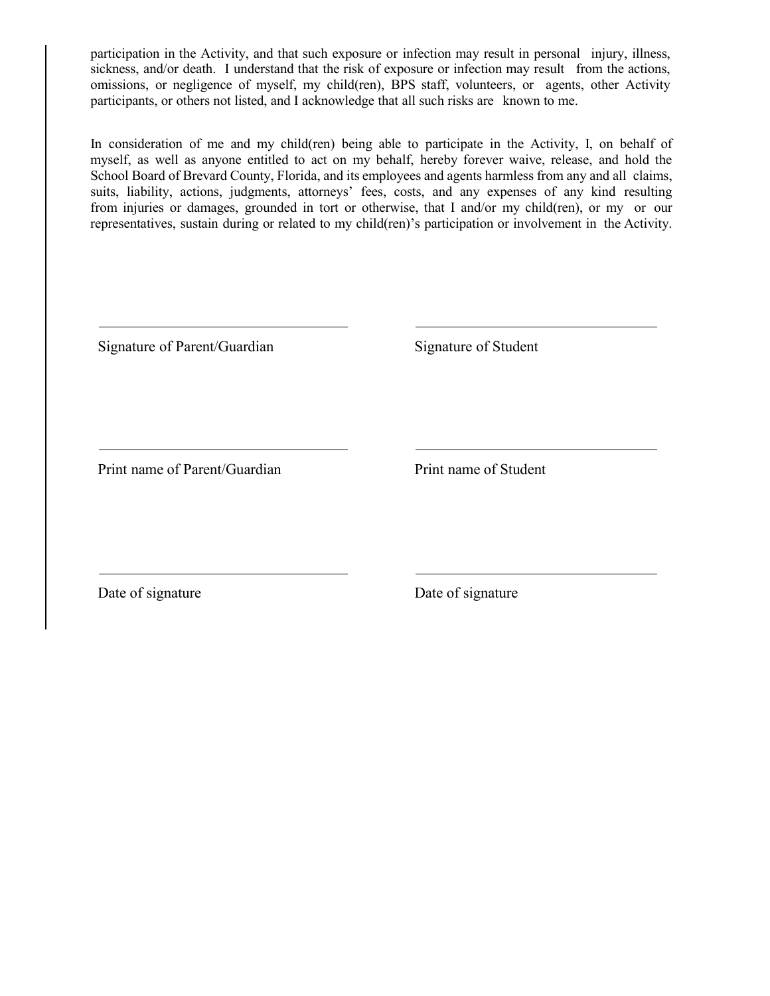participation in the Activity, and that such exposure or infection may result in personal injury, illness, sickness, and/or death. I understand that the risk of exposure or infection may result from the actions, omissions, or negligence of myself, my child(ren), BPS staff, volunteers, or agents, other Activity participants, or others not listed, and I acknowledge that all such risks are known to me.

In consideration of me and my child(ren) being able to participate in the Activity, I, on behalf of myself, as well as anyone entitled to act on my behalf, hereby forever waive, release, and hold the School Board of Brevard County, Florida, and its employees and agents harmless from any and all claims, suits, liability, actions, judgments, attorneys' fees, costs, and any expenses of any kind resulting from injuries or damages, grounded in tort or otherwise, that I and/or my child(ren), or my or our representatives, sustain during or related to my child(ren)'s participation or involvement in the Activity.

Signature of Parent/Guardian Signature of Student

Print name of Parent/Guardian Print name of Student

Date of signature Date of signature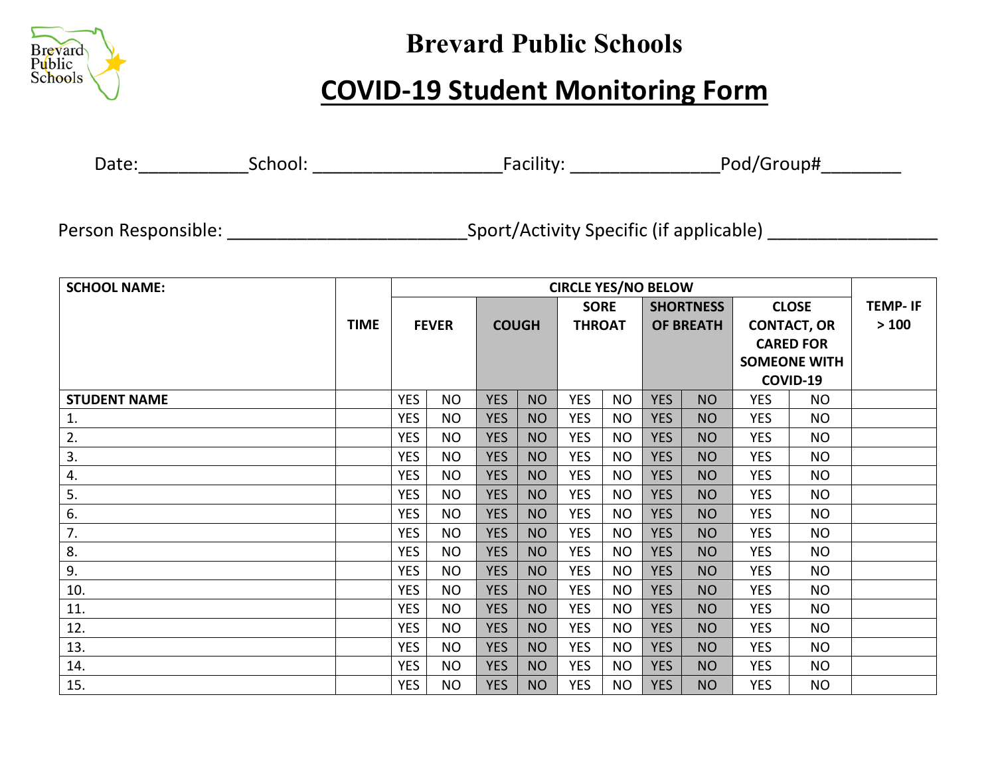

# **Brevard Public Schools**

# **COVID-19 Student Monitoring Form**

Date:\_\_\_\_\_\_\_\_\_\_\_School: \_\_\_\_\_\_\_\_\_\_\_\_\_\_\_\_\_\_\_Facility: \_\_\_\_\_\_\_\_\_\_\_\_\_\_\_Pod/Group#\_\_\_\_\_\_\_\_

Person Responsible: \_\_\_\_\_\_\_\_\_\_\_\_\_\_\_\_\_\_\_\_\_\_\_\_\_\_\_\_\_\_\_\_Sport/Activity Specific (if applicable) \_\_\_\_\_\_\_\_\_\_\_\_\_\_\_\_\_\_

| <b>SCHOOL NAME:</b> |             | <b>CIRCLE YES/NO BELOW</b> |           |              |           |               |           |                  |           |                     |           |                |
|---------------------|-------------|----------------------------|-----------|--------------|-----------|---------------|-----------|------------------|-----------|---------------------|-----------|----------------|
|                     |             |                            |           |              |           | <b>SORE</b>   |           | <b>SHORTNESS</b> |           | <b>CLOSE</b>        |           | <b>TEMP-IF</b> |
|                     | <b>TIME</b> | <b>FEVER</b>               |           | <b>COUGH</b> |           | <b>THROAT</b> |           | <b>OF BREATH</b> |           | <b>CONTACT, OR</b>  |           | >100           |
|                     |             |                            |           |              |           |               |           |                  |           | <b>CARED FOR</b>    |           |                |
|                     |             |                            |           |              |           |               |           |                  |           | <b>SOMEONE WITH</b> |           |                |
|                     |             |                            |           |              |           |               |           |                  |           | COVID-19            |           |                |
| <b>STUDENT NAME</b> |             | <b>YES</b>                 | <b>NO</b> | <b>YES</b>   | <b>NO</b> | <b>YES</b>    | <b>NO</b> | <b>YES</b>       | <b>NO</b> | <b>YES</b>          | <b>NO</b> |                |
| 1.                  |             | <b>YES</b>                 | <b>NO</b> | <b>YES</b>   | <b>NO</b> | <b>YES</b>    | <b>NO</b> | <b>YES</b>       | <b>NO</b> | <b>YES</b>          | <b>NO</b> |                |
| 2.                  |             | <b>YES</b>                 | <b>NO</b> | <b>YES</b>   | <b>NO</b> | <b>YES</b>    | <b>NO</b> | <b>YES</b>       | <b>NO</b> | <b>YES</b>          | <b>NO</b> |                |
| 3.                  |             | <b>YES</b>                 | <b>NO</b> | <b>YES</b>   | <b>NO</b> | <b>YES</b>    | <b>NO</b> | <b>YES</b>       | <b>NO</b> | <b>YES</b>          | <b>NO</b> |                |
| 4.                  |             | <b>YES</b>                 | <b>NO</b> | <b>YES</b>   | <b>NO</b> | <b>YES</b>    | <b>NO</b> | <b>YES</b>       | <b>NO</b> | <b>YES</b>          | <b>NO</b> |                |
| 5.                  |             | <b>YES</b>                 | <b>NO</b> | <b>YES</b>   | <b>NO</b> | <b>YES</b>    | <b>NO</b> | <b>YES</b>       | <b>NO</b> | <b>YES</b>          | <b>NO</b> |                |
| 6.                  |             | <b>YES</b>                 | <b>NO</b> | <b>YES</b>   | <b>NO</b> | <b>YES</b>    | <b>NO</b> | <b>YES</b>       | <b>NO</b> | <b>YES</b>          | <b>NO</b> |                |
| 7.                  |             | <b>YES</b>                 | <b>NO</b> | <b>YES</b>   | <b>NO</b> | <b>YES</b>    | <b>NO</b> | <b>YES</b>       | <b>NO</b> | <b>YES</b>          | <b>NO</b> |                |
| 8.                  |             | <b>YES</b>                 | <b>NO</b> | <b>YES</b>   | <b>NO</b> | <b>YES</b>    | <b>NO</b> | <b>YES</b>       | <b>NO</b> | <b>YES</b>          | <b>NO</b> |                |
| 9.                  |             | <b>YES</b>                 | <b>NO</b> | <b>YES</b>   | <b>NO</b> | <b>YES</b>    | <b>NO</b> | <b>YES</b>       | <b>NO</b> | <b>YES</b>          | <b>NO</b> |                |
| 10.                 |             | <b>YES</b>                 | <b>NO</b> | <b>YES</b>   | <b>NO</b> | <b>YES</b>    | <b>NO</b> | <b>YES</b>       | <b>NO</b> | <b>YES</b>          | <b>NO</b> |                |
| 11.                 |             | <b>YES</b>                 | <b>NO</b> | <b>YES</b>   | <b>NO</b> | <b>YES</b>    | <b>NO</b> | <b>YES</b>       | <b>NO</b> | <b>YES</b>          | <b>NO</b> |                |
| 12.                 |             | <b>YES</b>                 | <b>NO</b> | <b>YES</b>   | <b>NO</b> | <b>YES</b>    | <b>NO</b> | <b>YES</b>       | <b>NO</b> | <b>YES</b>          | <b>NO</b> |                |
| 13.                 |             | <b>YES</b>                 | <b>NO</b> | <b>YES</b>   | <b>NO</b> | <b>YES</b>    | <b>NO</b> | <b>YES</b>       | <b>NO</b> | <b>YES</b>          | <b>NO</b> |                |
| 14.                 |             | <b>YES</b>                 | <b>NO</b> | <b>YES</b>   | <b>NO</b> | <b>YES</b>    | <b>NO</b> | <b>YES</b>       | <b>NO</b> | <b>YES</b>          | <b>NO</b> |                |
| 15.                 |             | <b>YES</b>                 | <b>NO</b> | <b>YES</b>   | <b>NO</b> | <b>YES</b>    | <b>NO</b> | <b>YES</b>       | <b>NO</b> | <b>YES</b>          | <b>NO</b> |                |